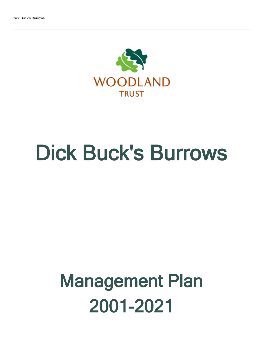

# Dick Buck's Burrows

## Management Plan 2001-2021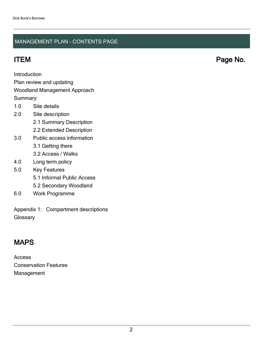### MANAGEMENT PLAN - CONTENTS PAGE

Introduction

Plan review and updating

#### Woodland Management Approach

**Summary** 

- 1.0 Site details
- 2.0 Site description
	- 2.1 Summary Description
	- 2.2 Extended Description
- 3.0 Public access information
	- 3.1 Getting there
	- 3.2 Access / Walks
- 4.0 Long term policy
- 5.0 Key Features
	- 5.1 Informal Public Access
	- 5.2 Secondary Woodland
- 6.0 Work Programme

Appendix 1: Compartment descriptions **Glossary** 

## MAPS

Access Conservation Features Management

ITEM Page No.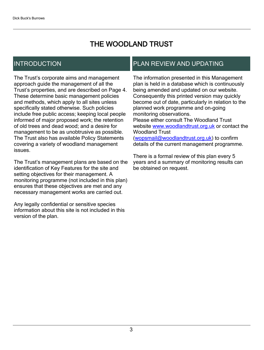## THE WOODLAND TRUST

## INTRODUCTION

The Trust's corporate aims and management approach guide the management of all the Trust's properties, and are described on Page 4. These determine basic management policies and methods, which apply to all sites unless specifically stated otherwise. Such policies include free public access; keeping local people informed of major proposed work; the retention of old trees and dead wood; and a desire for management to be as unobtrusive as possible. The Trust also has available Policy Statements covering a variety of woodland management issues.

The Trust's management plans are based on the identification of Key Features for the site and setting objectives for their management. A monitoring programme (not included in this plan) ensures that these objectives are met and any necessary management works are carried out.

Any legally confidential or sensitive species information about this site is not included in this version of the plan.

## PLAN REVIEW AND UPDATING

The information presented in this Management plan is held in a database which is continuously being amended and updated on our website. Consequently this printed version may quickly become out of date, particularly in relation to the planned work programme and on-going monitoring observations. Please either consult The Woodland Trust website [www.woodlandtrust.org.uk](http://www.woodlandtrust.org.uk/) or contact the Woodland Trust [\(wopsmail@woodlandtrust.org.uk](mailto:wopsmail@woodlandtrust.org.uk)) to confirm

details of the current management programme.

There is a formal review of this plan every 5 years and a summary of monitoring results can be obtained on request.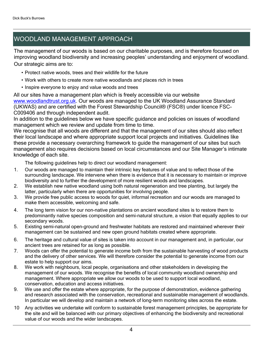## WOODLAND MANAGEMENT APPROACH

The management of our woods is based on our charitable purposes, and is therefore focused on improving woodland biodiversity and increasing peoples' understanding and enjoyment of woodland. Our strategic aims are to:

- Protect native woods, trees and their wildlife for the future
- Work with others to create more native woodlands and places rich in trees
- $\cdot$  Inspire everyone to enjoy and value woods and trees

All our sites have a management plan which is freely accessible via our website [www.woodlandtrust.org.uk.](http://www.woodlandtrust.org.uk/) Our woods are managed to the UK Woodland Assurance Standard (UKWAS) and are certified with the Forest Stewardship Council® (FSC®) under licence FSC-C009406 and through independent audit.

In addition to the guidelines below we have specific guidance and policies on issues of woodland management which we review and update from time to time.

We recognise that all woods are different and that the management of our sites should also reflect their local landscape and where appropriate support local projects and initiatives. Guidelines like these provide a necessary overarching framework to guide the management of our sites but such management also requires decisions based on local circumstances and our Site Manager's intimate knowledge of each site.

The following guidelines help to direct our woodland management:

- 1. Our woods are managed to maintain their intrinsic key features of value and to reflect those of the surrounding landscape. We intervene when there is evidence that it is necessary to maintain or improve biodiversity and to further the development of more resilient woods and landscapes.
- 2. We establish new native woodland using both natural regeneration and tree planting, but largely the latter, particularly when there are opportunities for involving people.
- 3. We provide free public access to woods for quiet, informal recreation and our woods are managed to make them accessible, welcoming and safe.
- 4. The long term vision for our non-native plantations on ancient woodland sites is to restore them to predominantly native species composition and semi-natural structure, a vision that equally applies to our secondary woods.
- 5. Existing semi-natural open-ground and freshwater habitats are restored and maintained wherever their management can be sustained and new open ground habitats created where appropriate.
- 6. The heritage and cultural value of sites is taken into account in our management and, in particular, our ancient trees are retained for as long as possible.
- 7. Woods can offer the potential to generate income both from the sustainable harvesting of wood products and the delivery of other services. We will therefore consider the potential to generate income from our estate to help support our aims.
- 8. We work with neighbours, local people, organisations and other stakeholders in developing the management of our woods. We recognise the benefits of local community woodland ownership and management. Where appropriate we allow our woods to be used to support local woodland, conservation, education and access initiatives.
- 9. We use and offer the estate where appropriate, for the purpose of demonstration, evidence gathering and research associated with the conservation, recreational and sustainable management of woodlands. In particular we will develop and maintain a network of long-term monitoring sites across the estate.
- 10 Any activities we undertake will conform to sustainable forest management principles, be appropriate for the site and will be balanced with our primary objectives of enhancing the biodiversity and recreational value of our woods and the wider landscapes.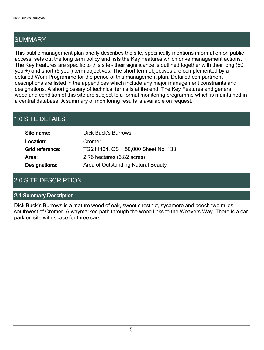## SUMMARY

This public management plan briefly describes the site, specifically mentions information on public access, sets out the long term policy and lists the Key Features which drive management actions. The Key Features are specific to this site - their significance is outlined together with their long (50 year+) and short (5 year) term objectives. The short term objectives are complemented by a detailed Work Programme for the period of this management plan. Detailed compartment descriptions are listed in the appendices which include any major management constraints and designations. A short glossary of technical terms is at the end. The Key Features and general woodland condition of this site are subject to a formal monitoring programme which is maintained in a central database. A summary of monitoring results is available on request.

## 1.0 SITE DETAILS

| Site name:      | <b>Dick Buck's Burrows</b>          |
|-----------------|-------------------------------------|
| Location:       | Cromer                              |
| Grid reference: | TG211404, OS 1:50,000 Sheet No. 133 |
| Area:           | 2.76 hectares (6.82 acres)          |
| Designations:   | Area of Outstanding Natural Beauty  |

## 2.0 SITE DESCRIPTION

#### 2.1 Summary Description

Dick Buck's Burrows is a mature wood of oak, sweet chestnut, sycamore and beech two miles southwest of Cromer. A waymarked path through the wood links to the Weavers Way. There is a car park on site with space for three cars.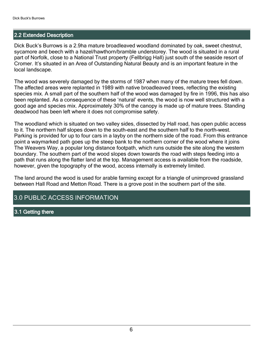#### 2.2 Extended Description

Dick Buck's Burrows is a 2.9ha mature broadleaved woodland dominated by oak, sweet chestnut, sycamore and beech with a hazel/hawthorn/bramble understorey. The wood is situated in a rural part of Norfolk, close to a National Trust property (Fellbrigg Hall) just south of the seaside resort of Cromer. It's situated in an Area of Outstanding Natural Beauty and is an important feature in the local landscape.

The wood was severely damaged by the storms of 1987 when many of the mature trees fell down. The affected areas were replanted in 1989 with native broadleaved trees, reflecting the existing species mix. A small part of the southern half of the wood was damaged by fire in 1996, this has also been replanted. As a consequence of these 'natural' events, the wood is now well structured with a good age and species mix. Approximately 30% of the canopy is made up of mature trees. Standing deadwood has been left where it does not compromise safety.

The woodland which is situated on two valley sides, dissected by Hall road, has open public access to it. The northern half slopes down to the south-east and the southern half to the north-west. Parking is provided for up to four cars in a layby on the northern side of the road. From this entrance point a waymarked path goes up the steep bank to the northern corner of the wood where it joins The Weavers Way, a popular long distance footpath, which runs outside the site along the western boundary. The southern part of the wood slopes down towards the road with steps feeding into a path that runs along the flatter land at the top. Management access is available from the roadside, however, given the topography of the wood, access internally is extremely limited.

The land around the wood is used for arable farming except for a triangle of unimproved grassland between Hall Road and Metton Road. There is a grove post in the southern part of the site.

### 3.0 PUBLIC ACCESS INFORMATION

#### 3.1 Getting there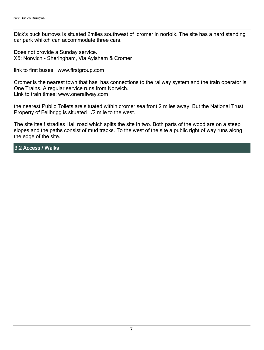Dick's buck burrows is situated 2miles southwest of cromer in norfolk. The site has a hard standing car park whikch can accommodate three cars.

Does not provide a Sunday service. X5: Norwich - Sheringham, Via Aylsham & Cromer

link to first buses: www.firstgroup.com

Cromer is the nearest town that has has connections to the railway system and the train operator is One Trains. A regular service runs from Norwich. Link to train times: www.onerailway.com

the nearest Public Toilets are situated within cromer sea front 2 miles away. But the National Trust Property of Fellbrigg is situated 1/2 mile to the west.

The site itself stradles Hall road which splits the site in two. Both parts of the wood are on a steep slopes and the paths consist of mud tracks. To the west of the site a public right of way runs along the edge of the site.

3.2 Access / Walks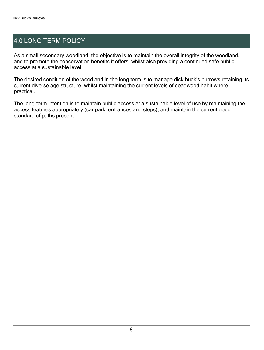## 4.0 LONG TERM POLICY

As a small secondary woodland, the objective is to maintain the overall integrity of the woodland, and to promote the conservation benefits it offers, whilst also providing a continued safe public access at a sustainable level.

The desired condition of the woodland in the long term is to manage dick buck's burrows retaining its current diverse age structure, whilst maintaining the current levels of deadwood habit where practical.

The long-term intention is to maintain public access at a sustainable level of use by maintaining the access features appropriately (car park, entrances and steps), and maintain the current good standard of paths present.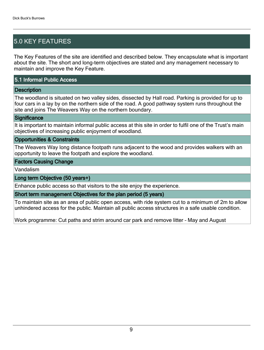## 5.0 KEY FEATURES

The Key Features of the site are identified and described below. They encapsulate what is important about the site. The short and long-term objectives are stated and any management necessary to maintain and improve the Key Feature.

#### 5.1 Informal Public Access

#### **Description**

The woodland is situated on two valley sides, dissected by Hall road. Parking is provided for up to four cars in a lay by on the northern side of the road. A good pathway system runs throughout the site and joins The Weavers Way on the northern boundary.

#### **Significance**

It is important to maintain informal public access at this site in order to fulfil one of the Trust's main objectives of increasing public enjoyment of woodland.

#### Opportunities & Constraints

The Weavers Way long distance footpath runs adjacent to the wood and provides walkers with an opportunity to leave the footpath and explore the woodland.

#### Factors Causing Change

Vandalism

#### Long term Objective (50 years+)

Enhance public access so that visitors to the site enjoy the experience.

#### Short term management Objectives for the plan period (5 years)

To maintain site as an area of public open access, with ride system cut to a minimum of 2m to allow unhindered access for the public. Maintain all public access structures in a safe usable condition.

Work programme: Cut paths and strim around car park and remove litter - May and August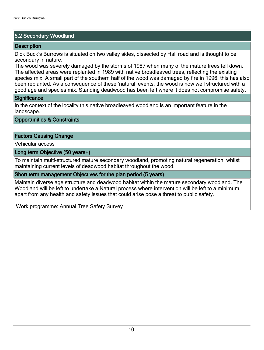#### 5.2 Secondary Woodland

#### **Description**

Dick Buck's Burrows is situated on two valley sides, dissected by Hall road and is thought to be secondary in nature.

The wood was severely damaged by the storms of 1987 when many of the mature trees fell down. The affected areas were replanted in 1989 with native broadleaved trees, reflecting the existing species mix. A small part of the southern half of the wood was damaged by fire in 1996, this has also been replanted. As a consequence of these 'natural' events, the wood is now well structured with a good age and species mix. Standing deadwood has been left where it does not compromise safety.

#### **Significance**

In the context of the locality this native broadleaved woodland is an important feature in the landscape.

Opportunities & Constraints

#### Factors Causing Change

Vehicular access

Long term Objective (50 years+)

To maintain multi-structured mature secondary woodland, promoting natural regeneration, whilst maintaining current levels of deadwood habitat throughout the wood.

#### Short term management Objectives for the plan period (5 years)

Maintain diverse age structure and deadwood habitat within the mature secondary woodland. The Woodland will be left to undertake a Natural process where intervention will be left to a minimum, apart from any health and safety issues that could arise pose a threat to public safety.

Work programme: Annual Tree Safety Survey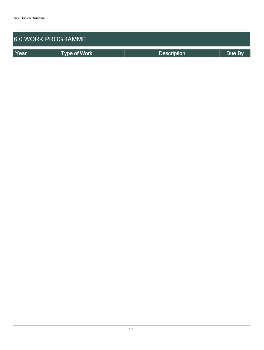| <b>6.0 WORK PROGRAMME</b> |                     |                    |        |  |  |  |  |  |  |
|---------------------------|---------------------|--------------------|--------|--|--|--|--|--|--|
| Year                      | <b>Type of Work</b> | <b>Description</b> | Due By |  |  |  |  |  |  |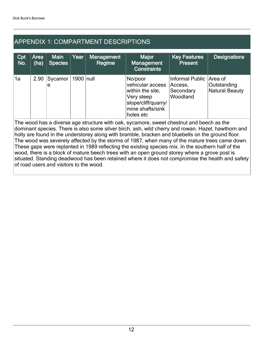## APPENDIX 1: COMPARTMENT DESCRIPTIONS

| Cpt<br>No.                                                                                                                                                                                                                                                                                                                                                                                            | <b>Area</b><br>(ha) | <b>Main</b><br><b>Species</b> | Year        | Management<br><b>Regime</b> | <b>Major</b><br><b>Management</b><br><b>Constraints</b>                                                               | <b>Key Features</b><br><b>Present</b>                      | <b>Designations</b>                      |  |  |
|-------------------------------------------------------------------------------------------------------------------------------------------------------------------------------------------------------------------------------------------------------------------------------------------------------------------------------------------------------------------------------------------------------|---------------------|-------------------------------|-------------|-----------------------------|-----------------------------------------------------------------------------------------------------------------------|------------------------------------------------------------|------------------------------------------|--|--|
| 1a                                                                                                                                                                                                                                                                                                                                                                                                    | 2.90                | Sycamor<br>e                  | 1900   null |                             | No/poor<br>vehicular access<br>within the site,<br>Very steep<br>slope/cliff/quarry/<br>mine shafts/sink<br>holes etc | <b>Informal Public</b><br>Access,<br>Secondary<br>Woodland | Area of<br>Outstanding<br>Natural Beauty |  |  |
| The wood has a diverse age structure with oak, sycamore, sweet chestnut and beech as the<br>dominant species. There is also some silver birch, ash, wild cherry and rowan. Hazel, hawthorn and<br>holly are found in the understorey along with bramble, bracken and bluebells on the ground floor.<br>The wood was severely affected by the storms of 1987, when many of the mature trees came down. |                     |                               |             |                             |                                                                                                                       |                                                            |                                          |  |  |

These gaps were replanted in 1989 reflecting the existing species mix. In the southern half of the wood, there is a block of mature beech trees with an open ground storey where a grove post is situated. Standing deadwood has been retained where it does not compromise the health and safety of road users and visitors to the wood.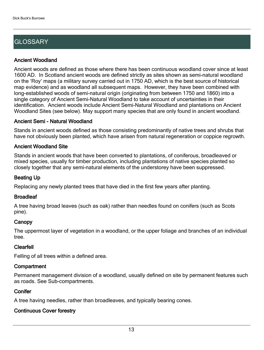## **GLOSSARY**

#### Ancient Woodland

Ancient woods are defined as those where there has been continuous woodland cover since at least 1600 AD. In Scotland ancient woods are defined strictly as sites shown as semi-natural woodland on the 'Roy' maps (a military survey carried out in 1750 AD, which is the best source of historical map evidence) and as woodland all subsequent maps. However, they have been combined with long-established woods of semi-natural origin (originating from between 1750 and 1860) into a single category of Ancient Semi-Natural Woodland to take account of uncertainties in their identification. Ancient woods include Ancient Semi-Natural Woodland and plantations on Ancient Woodland Sites (see below). May support many species that are only found in ancient woodland.

#### Ancient Semi - Natural Woodland

Stands in ancient woods defined as those consisting predominantly of native trees and shrubs that have not obviously been planted, which have arisen from natural regeneration or coppice regrowth.

#### Ancient Woodland Site

Stands in ancient woods that have been converted to plantations, of coniferous, broadleaved or mixed species, usually for timber production, including plantations of native species planted so closely together that any semi-natural elements of the understorey have been suppressed.

#### Beating Up

Replacing any newly planted trees that have died in the first few years after planting.

#### **Broadleaf**

A tree having broad leaves (such as oak) rather than needles found on conifers (such as Scots pine).

#### **Canopy**

The uppermost layer of vegetation in a woodland, or the upper foliage and branches of an individual tree.

#### Clearfell

Felling of all trees within a defined area.

#### **Compartment**

Permanent management division of a woodland, usually defined on site by permanent features such as roads. See Sub-compartments.

#### **Conifer**

A tree having needles, rather than broadleaves, and typically bearing cones.

#### Continuous Cover forestry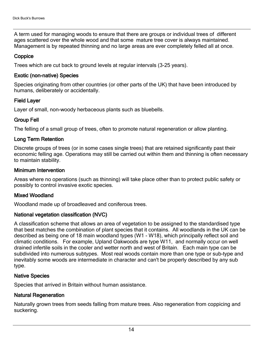A term used for managing woods to ensure that there are groups or individual trees of different ages scattered over the whole wood and that some mature tree cover is always maintained. Management is by repeated thinning and no large areas are ever completely felled all at once.

#### **Coppice**

Trees which are cut back to ground levels at regular intervals (3-25 years).

#### Exotic (non-native) Species

Species originating from other countries (or other parts of the UK) that have been introduced by humans, deliberately or accidentally.

#### Field Layer

Layer of small, non-woody herbaceous plants such as bluebells.

#### Group Fell

The felling of a small group of trees, often to promote natural regeneration or allow planting.

#### Long Term Retention

Discrete groups of trees (or in some cases single trees) that are retained significantly past their economic felling age. Operations may still be carried out within them and thinning is often necessary to maintain stability.

#### Minimum Intervention

Areas where no operations (such as thinning) will take place other than to protect public safety or possibly to control invasive exotic species.

#### Mixed Woodland

Woodland made up of broadleaved and coniferous trees.

#### National vegetation classification (NVC)

A classification scheme that allows an area of vegetation to be assigned to the standardised type that best matches the combination of plant species that it contains. All woodlands in the UK can be described as being one of 18 main woodland types (W1 - W18), which principally reflect soil and climatic conditions. For example, Upland Oakwoods are type W11, and normally occur on well drained infertile soils in the cooler and wetter north and west of Britain. Each main type can be subdivided into numerous subtypes. Most real woods contain more than one type or sub-type and inevitably some woods are intermediate in character and can't be properly described by any sub type.

#### Native Species

Species that arrived in Britain without human assistance.

#### Natural Regeneration

Naturally grown trees from seeds falling from mature trees. Also regeneration from coppicing and suckering.